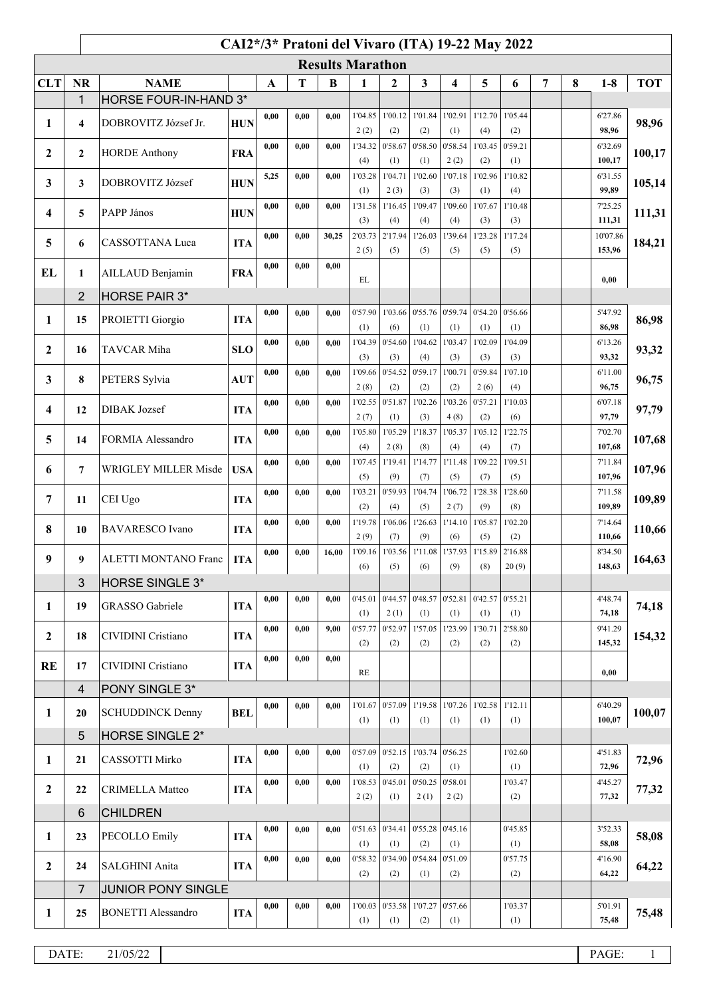|              |                         |                              |            |              |      |          | CAI2*/3* Pratoni del Vivaro (ITA) 19-22 May 2022 |                            |                                   |                        |                        |                |                |   |                   |              |
|--------------|-------------------------|------------------------------|------------|--------------|------|----------|--------------------------------------------------|----------------------------|-----------------------------------|------------------------|------------------------|----------------|----------------|---|-------------------|--------------|
|              |                         |                              |            |              |      |          | <b>Results Marathon</b>                          |                            |                                   |                        |                        |                |                |   |                   |              |
| <b>CLT</b>   | <b>NR</b>               | <b>NAME</b>                  |            | $\mathbf{A}$ | T    | $\bf{B}$ | 1                                                | $\boldsymbol{2}$           | $\overline{\mathbf{3}}$           | 4                      | 5                      | 6              | $\overline{7}$ | 8 | $1-8$             | <b>TOT</b>   |
|              | 1                       | <b>HORSE FOUR-IN-HAND 3*</b> |            |              |      |          |                                                  |                            |                                   |                        |                        |                |                |   |                   |              |
| 1            | $\overline{\mathbf{4}}$ | DOBROVITZ József Jr.         | <b>HUN</b> | 0,00         | 0,00 | 0.00     | 1'04.85                                          | 1'00.12                    | 1'01.84                           | 1'02.91                | 1'12.70                | 1'05.44        |                |   | 6'27.86           | 98,96        |
|              |                         |                              |            | 0,00         | 0,00 | 0.00     | 2(2)<br>1'34.32                                  | (2)<br>0'58.67             | (2)<br>0'58.50                    | (1)<br>0'58.54         | (4)<br>1'03.45         | (2)<br>0'59.21 |                |   | 98,96<br>6'32.69  |              |
| $\mathbf{2}$ | $\mathbf{2}$            | <b>HORDE Anthony</b>         | <b>FRA</b> |              |      |          | (4)                                              | (1)                        | (1)                               | 2(2)                   | (2)                    | (1)            |                |   | 100,17            | 100,17       |
| 3            | $\mathbf{3}$            | DOBROVITZ József             | <b>HUN</b> | 5,25         | 0,00 | 0.00     | 1'03.28                                          | 1'04.71                    | 1'02.60                           | 1'07.18                | 1'02.96                | 1'10.82        |                |   | 6'31.55           | 105,14       |
|              |                         |                              |            |              |      |          | (1)                                              | 2(3)                       | (3)                               | (3)                    | (1)                    | (4)            |                |   | 99,89             |              |
| 4            | 5                       | PAPP János                   | <b>HUN</b> | 0,00         | 0,00 | 0.00     | 1'31.58<br>(3)                                   | 1'16.45<br>(4)             | 1'09.47<br>(4)                    | 1'09.60<br>(4)         | 1'07.67<br>(3)         | 1'10.48<br>(3) |                |   | 7'25.25<br>111,31 | 111,31       |
|              |                         |                              |            | 0,00         | 0,00 | 30,25    | 2'03.73                                          | 2'17.94                    | 1'26.03                           | 1'39.64                | 1'23.28                | 1'17.24        |                |   | 10'07.86          |              |
| 5            | 6                       | CASSOTTANA Luca              | <b>ITA</b> |              |      |          | 2(5)                                             | (5)                        | (5)                               | (5)                    | (5)                    | (5)            |                |   | 153,96            | 184,21       |
| EL           | 1                       | AILLAUD Benjamin             | <b>FRA</b> | 0,00         | 0,00 | 0,00     |                                                  |                            |                                   |                        |                        |                |                |   |                   |              |
|              |                         |                              |            |              |      |          | EL                                               |                            |                                   |                        |                        |                |                |   | 0,00              |              |
|              | $\overline{2}$          | <b>HORSE PAIR 3*</b>         |            | 0,00         | 0,00 | 0,00     | 0'57.90                                          |                            | 1'03.66 0'55.76                   | 0'59.74                | 0'54.20                | 0'56.66        |                |   | 5'47.92           |              |
| 1            | 15                      | PROIETTI Giorgio             | <b>ITA</b> |              |      |          | (1)                                              | (6)                        | (1)                               | (1)                    | (1)                    | (1)            |                |   | 86,98             | 86,98        |
|              |                         | TAVCAR Miha                  |            | 0,00         | 0,00 | 0.00     | 1'04.39                                          | 0'54.60                    | 1'04.62                           | 1'03.47                | 1'02.09                | 1'04.09        |                |   | 6'13.26           |              |
| $\mathbf{2}$ | 16                      |                              | <b>SLO</b> |              |      |          | (3)                                              | (3)                        | (4)                               | (3)                    | (3)                    | (3)            |                |   | 93,32             | 93,32        |
| 3            | 8                       | PETERS Sylvia                | <b>AUT</b> | 0,00         | 0,00 | 0.00     | 1'09.66                                          | 0'54.52                    | 0'59.17                           | 1'00.71                | 0'59.84                | 1'07.10        |                |   | 6'11.00           | 96,75        |
|              |                         |                              |            | 0,00         | 0,00 | 0.00     | 2(8)<br>1'02.55                                  | (2)<br>0'51.87             | (2)<br>1'02.26                    | (2)<br>1'03.26         | 2(6)<br>0'57.21        | (4)<br>1'10.03 |                |   | 96,75<br>6'07.18  |              |
| 4            | 12                      | <b>DIBAK</b> Jozsef          | <b>ITA</b> |              |      |          | 2(7)                                             | (1)                        | (3)                               | 4(8)                   | (2)                    | (6)            |                |   | 97,79             | 97,79        |
| 5            | 14                      | FORMIA Alessandro            | <b>ITA</b> | 0,00         | 0,00 | 0,00     | 1'05.80                                          | 1'05.29                    | 1'18.37                           | 1'05.37                | 1'05.12                | 1'22.75        |                |   | 7'02.70           |              |
|              |                         |                              |            |              |      |          | (4)                                              | 2(8)                       | (8)                               | (4)                    | (4)                    | (7)            |                |   | 107,68            | 107,68       |
| 6            | $\overline{7}$          | WRIGLEY MILLER Misde         | <b>USA</b> | 0,00         | 0,00 | 0.00     | 1'07.45                                          | 1'19.41                    | 1'14.77                           | 1'11.48                | 1'09.22                | 1'09.51        |                |   | 7'11.84<br>107,96 | 107,96       |
|              |                         |                              |            | 0,00         | 0,00 | 0.00     | (5)<br>1'03.21                                   | (9)<br>0'59.93             | (7)<br>1'04.74                    | (5)<br>1'06.72         | (7)<br>1'28.38         | (5)<br>1'28.60 |                |   | 7'11.58           |              |
| 7            | 11                      | CEI Ugo                      | <b>ITA</b> |              |      |          | (2)                                              | (4)                        | (5)                               | 2(7)                   | (9)                    | (8)            |                |   | 109,89            | 109,89       |
| 8            | 10                      | <b>BAVARESCO</b> Ivano       | <b>ITA</b> | 0,00         | 0,00 | 0.00     | 1'19.78                                          | 1'06.06                    | 1'26.63                           | 1'14.10                | 1'05.87                | 1'02.20        |                |   | 7'14.64           | 110,66       |
|              |                         |                              |            |              |      |          | 2(9)                                             | (7)                        | (9)                               | (6)                    | (5)                    | (2)            |                |   | 110,66            |              |
| 9            | 9                       | ALETTI MONTANO Franc         | <b>ITA</b> | 0,00         | 0,00 | 16,00    | (6)                                              | 1'09.16   1'03.56  <br>(5) | (6)                               | 1'11.08 1'37.93<br>(9) | 1'15.89 2'16.88<br>(8) | 20(9)          |                |   | 8'34.50<br>148,63 | 164,63       |
|              | 3                       | <b>HORSE SINGLE 3*</b>       |            |              |      |          |                                                  |                            |                                   |                        |                        |                |                |   |                   |              |
|              |                         |                              |            | 0,00         | 0,00 | 0,00     | 0'45.01                                          | 0'44.57                    | 0'48.57                           | 0'52.81                | $0'42.57$ 0'55.21      |                |                |   | 4'48.74           |              |
| 1            | 19                      | GRASSO Gabriele              | <b>ITA</b> |              |      |          | (1)                                              | 2(1)                       | (1)                               | (1)                    | (1)                    | (1)            |                |   | 74,18             | 74,18        |
| $\mathbf{2}$ | 18                      | CIVIDINI Cristiano           | <b>ITA</b> | 0,00         | 0,00 | 9,00     | 0'57.77                                          | 0'52.97                    | 1'57.05                           | 1'23.99                | 1'30.71                | 2'58.80        |                |   | 9'41.29           | 154,32       |
|              |                         |                              |            | 0,00         | 0,00 | 0,00     | (2)                                              | (2)                        | (2)                               | (2)                    | (2)                    | (2)            |                |   | 145,32            |              |
| <b>RE</b>    | 17                      | CIVIDINI Cristiano           | <b>ITA</b> |              |      |          | RE                                               |                            |                                   |                        |                        |                |                |   | 0,00              |              |
|              | $\overline{\mathbf{4}}$ | PONY SINGLE 3*               |            |              |      |          |                                                  |                            |                                   |                        |                        |                |                |   |                   |              |
| 1            | 20                      | <b>SCHUDDINCK Denny</b>      | <b>BEL</b> | 0,00         | 0,00 | 0,00     | 1'01.67                                          | 0'57.09                    | 1'19.58                           | 1'07.26                | 1'02.58                | 1'12.11        |                |   | 6'40.29           | 100,07       |
|              |                         |                              |            |              |      |          | (1)                                              | (1)                        | (1)                               | (1)                    | (1)                    | (1)            |                |   | 100,07            |              |
|              | 5                       | HORSE SINGLE 2*              |            |              |      |          |                                                  |                            |                                   |                        |                        |                |                |   |                   |              |
| 1            | 21                      | CASSOTTI Mirko               | <b>ITA</b> | 0,00         | 0,00 | 0,00     | (1)                                              | $0'57.09$ 0'52.15<br>(2)   | 1'03.74<br>(2)                    | 0'56.25<br>(1)         |                        | 1'02.60<br>(1) |                |   | 4'51.83<br>72,96  | 72,96        |
|              |                         |                              |            | 0,00         | 0,00 | 0.00     | 1'08.53                                          | 0'45.01                    | 0'50.25                           | 0'58.01                |                        | 1'03.47        |                |   | 4'45.27           |              |
| $\mathbf{2}$ | 22                      | <b>CRIMELLA Matteo</b>       | <b>ITA</b> |              |      |          | 2(2)                                             | (1)                        | 2(1)                              | 2(2)                   |                        | (2)            |                |   | 77,32             | 77,32        |
|              | 6                       | <b>CHILDREN</b>              |            |              |      |          |                                                  |                            |                                   |                        |                        |                |                |   |                   |              |
| $\mathbf{1}$ | 23                      | PECOLLO Emily                | <b>ITA</b> | 0,00         | 0,00 | 0,00     |                                                  |                            | $0'51.63$ 0'34.41 0'55.28 0'45.16 |                        |                        | 0'45.85        |                |   | 3'52.33           | 58,08        |
|              |                         |                              |            | 0,00         | 0,00 | 0,00     | (1)                                              | (1)<br>0'58.32 0'34.90     | (2)<br>0'54.84                    | (1)<br>0'51.09         |                        | (1)<br>0'57.75 |                |   | 58,08<br>4'16.90  |              |
| $\mathbf{2}$ | 24                      | SALGHINI Anita               | <b>ITA</b> |              |      |          | (2)                                              | (2)                        | (1)                               | (2)                    |                        | (2)            |                |   | 64,22             | 64,22        |
|              | 7                       | JUNIOR PONY SINGLE           |            |              |      |          |                                                  |                            |                                   |                        |                        |                |                |   |                   |              |
| 1            | 25                      | <b>BONETTI Alessandro</b>    | <b>ITA</b> | 0,00         | 0,00 | 0,00     | 1'00.03                                          |                            | $0'53.58$   1'07.27               | 0'57.66                |                        | 1'03.37        |                |   | 5'01.91           | 75,48        |
|              |                         |                              |            |              |      |          | (1)                                              | (1)                        | (2)                               | (1)                    |                        | (1)            |                |   | 75,48             |              |
|              |                         |                              |            |              |      |          |                                                  |                            |                                   |                        |                        |                |                |   |                   |              |
|              | DATE:                   | 21/05/22                     |            |              |      |          |                                                  |                            |                                   |                        |                        |                |                |   | PAGE:             | $\mathbf{1}$ |